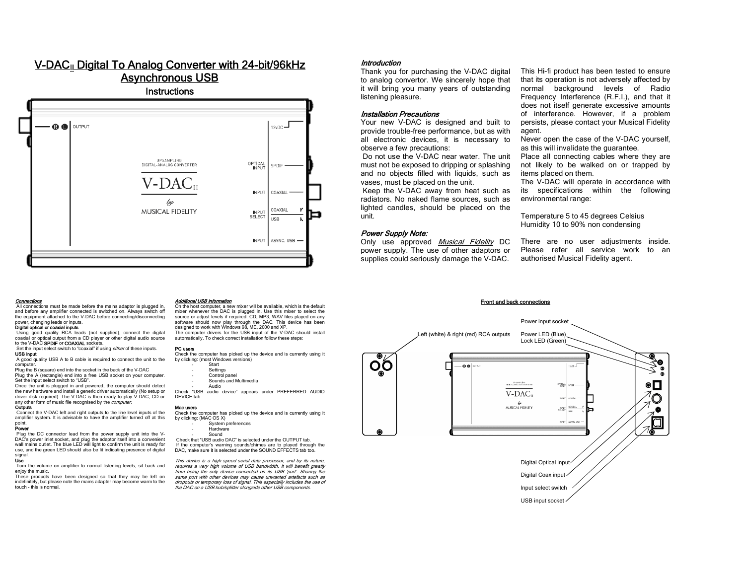# V-DAC<sub>II</sub> Digital To Analog Converter with 24-bit/96kHz Asynchronous USB





Additional USB information

by clicking: (most Windows versions) **Start Settings**  Control panel Sounds and Multimedia

Audio

PC users

DEVICE tab Mac users

by clicking: (MAC OS X)

On the host computer, a new mixer will be available, which is the default mixer whenever the DAC is plugged in. Use this mixer to select the source or adjust levels if required. CD, MP3, WAV files played on any software should now play through the DAC. This device has been

The computer drivers for the USB input of the V-DAC should install automatically. To check correct installation follow these steps:

Check the computer has picked up the device and is currently using it

Check "USB audio device" appears under PREFERRED AUDIO

Check the computer has picked up the device and is currently using it

 Check that "USB audio DAC" is selected under the OUTPUT tab. If the computer's warning sounds/chimes are to played through the DAC, make sure it is selected under the SOUND EFFECTS tab too. This device is a high speed serial data processor, and by its nature, rms dones is a mgn epeca cenar data presesser, and by he hardie,<br>requires a very high volume of USB bandwidth. It will benefit greatly from being the only device connected on its USB 'port'. Sharing the same port with other devices may cause unwanted artefacts such as dropouts or temporary loss of signal. This especially includes the use of the DAC on a USB hub/splitter alongside other USB components.

designed to work with Windows 98, ME, 2000 and XP.

 System preferences Hardware Sound

**Connections**<br>All connections must be made before the mains adaptor is plugged in, and before any amplifier connected is switched on. Always switch off the equipment attached to the V-DAC before connecting/disconnecting power, changing leads or inputs.

**Digital optical or coaxial inputs**<br>Using good quality RCA leads (not supplied), connect the digital coaxial or optical output from a CD player or other digital audio source to the V-DAC **SPDIF** or **COAXIAL** sockets.

## Set the input select switch to "coaxial" if using *either* of these inputs. USB input

 A good quality USB A to B cable is required to connect the unit to the compute

Plug the B (square) end into the socket in the back of the V-DAC Plug the A (rectangle) end into a free USB socket on your computer. Set the input select switch to "USB".

Once the unit is plugged in and powered, the computer should detect the new hardware and install a generic driver automatically (No setup or driver disk required). The V-DAC is then ready to play V-DAC, CD or any other form of music file recognised by the *computer* 

**Outputs**  Connect the V-DAC left and right outputs to the line level inputs of the amplifier system. It is advisable to have the amplifier turned off at this

### point. Power

 Plug the DC connector lead from the power supply unit into the V-DAC's power inlet socket, and plug the adaptor itself into a convenient wall mains outlet. The blue LED will light to confirm the unit is ready for use, and the green LED should also be lit indicating presence of digital signal.

## Use

Turn the volume on amplifier to normal listening levels, sit back and enjoy the music.

These products have been designed so that they may be left on indefinitely, but please note the mains adapter may become warm to the touch - this is normal.

## Introduction

Thank you for purchasing the V-DAC digital to analog convertor. We sincerely hope that it will bring you many years of outstanding listening pleasure.

## Installation Precautions

Your new V-DAC is designed and built to provide trouble-free performance, but as with all electronic devices, it is necessary to observe a few precautions:

 Do not use the V-DAC near water. The unit must not be exposed to dripping or splashing and no objects filled with liquids, such as vases, must be placed on the unit.

 Keep the V-DAC away from heat such as radiators. No naked flame sources, such as lighted candles, should be placed on the unit.

## Power Supply Note:

Only use approved Musical Fidelity DC power supply. The use of other adaptors or supplies could seriously damage the V-DAC.

This Hi-fi product has been tested to ensure that its operation is not adversely affected by normal background levels of Radio Frequency Interference (R.F.I.), and that it does not itself generate excessive amounts of interference. However, if a problem persists, please contact your Musical Fidelity agent.

Never open the case of the V-DAC yourself, as this will invalidate the guarantee.

Place all connecting cables where they are not likely to be walked on or trapped by items placed on them.

The V-DAC will operate in accordance with its specifications within the following environmental range:

Temperature 5 to 45 degrees Celsius Humidity 10 to 90% non condensing

There are no user adiustments inside. Please refer all service work to an authorised Musical Fidelity agent.

## Front and back connections